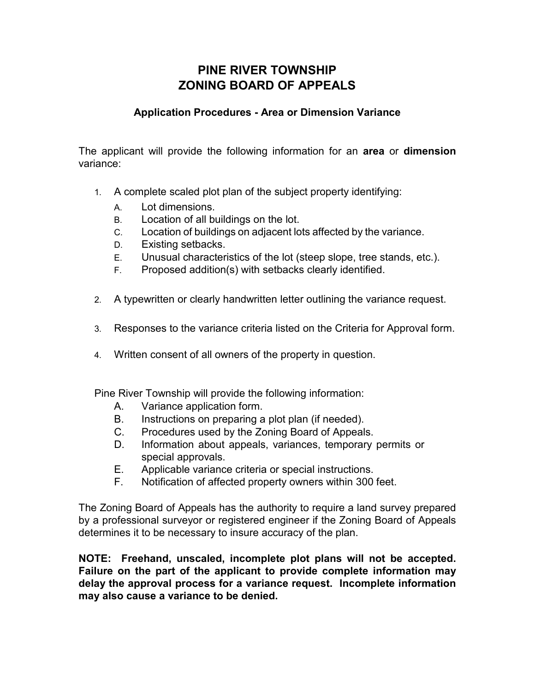## **PINE RIVER TOWNSHIP ZONING BOARD OF APPEALS**

#### **Application Procedures - Area or Dimension Variance**

The applicant will provide the following information for an **area** or **dimension** variance:

- 1. A complete scaled plot plan of the subject property identifying:
	- A. Lot dimensions.
	- B. Location of all buildings on the lot.
	- C. Location of buildings on adjacent lots affected by the variance.
	- D. Existing setbacks.
	- E. Unusual characteristics of the lot (steep slope, tree stands, etc.).
	- F. Proposed addition(s) with setbacks clearly identified.
- 2. A typewritten or clearly handwritten letter outlining the variance request.
- 3. Responses to the variance criteria listed on the Criteria for Approval form.
- 4. Written consent of all owners of the property in question.

Pine River Township will provide the following information:

- A. Variance application form.
- B. Instructions on preparing a plot plan (if needed).
- C. Procedures used by the Zoning Board of Appeals.
- D. Information about appeals, variances, temporary permits or special approvals.
- E. Applicable variance criteria or special instructions.
- F. Notification of affected property owners within 300 feet.

The Zoning Board of Appeals has the authority to require a land survey prepared by a professional surveyor or registered engineer if the Zoning Board of Appeals determines it to be necessary to insure accuracy of the plan.

**NOTE: Freehand, unscaled, incomplete plot plans will not be accepted. Failure on the part of the applicant to provide complete information may delay the approval process for a variance request. Incomplete information may also cause a variance to be denied.**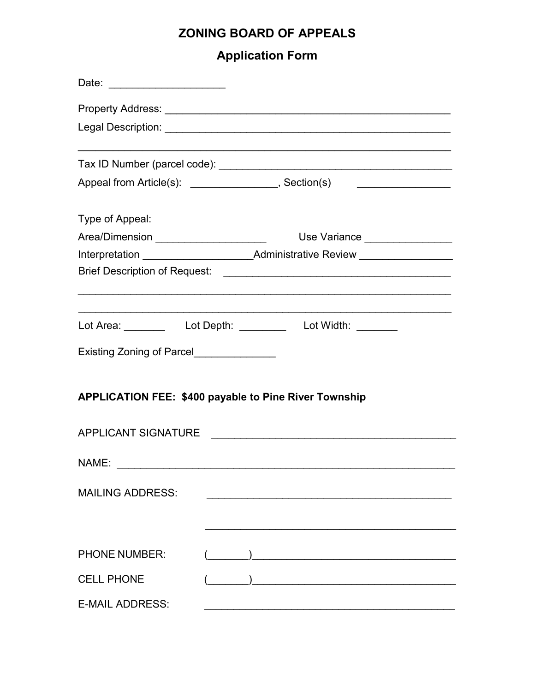# **ZONING BOARD OF APPEALS**

# **Application Form**

| Date: ________________________                                                   |                                                                         |
|----------------------------------------------------------------------------------|-------------------------------------------------------------------------|
|                                                                                  |                                                                         |
|                                                                                  |                                                                         |
|                                                                                  |                                                                         |
|                                                                                  | Appeal from Article(s): ________________, Section(s)   ________________ |
| Type of Appeal:                                                                  |                                                                         |
| Area/Dimension ______________________                                            | Use Variance ________________                                           |
| Interpretation __________________________Administrative Review _________________ |                                                                         |
|                                                                                  |                                                                         |
|                                                                                  |                                                                         |
|                                                                                  | Lot Area: __________  Lot Depth: __________  Lot Width: ________        |
| Existing Zoning of Parcel_______________                                         |                                                                         |
|                                                                                  | <b>APPLICATION FEE: \$400 payable to Pine River Township</b>            |
| <b>APPLICANT SIGNATURE</b>                                                       |                                                                         |
| NAME:                                                                            |                                                                         |
| <b>MAILING ADDRESS:</b>                                                          |                                                                         |
|                                                                                  |                                                                         |
| <b>PHONE NUMBER:</b>                                                             |                                                                         |
| <b>CELL PHONE</b>                                                                |                                                                         |
| <b>E-MAIL ADDRESS:</b>                                                           |                                                                         |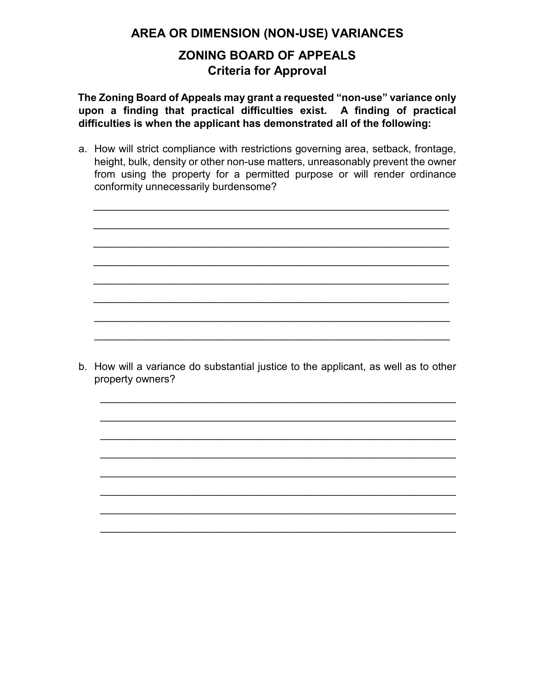**AREA OR DIMENSION (NON-USE) VARIANCES**

## **ZONING BOARD OF APPEALS Criteria for Approval**

**The Zoning Board of Appeals may grant a requested "non-use" variance only upon a finding that practical difficulties exist. A finding of practical difficulties is when the applicant has demonstrated all of the following:** 

a. How will strict compliance with restrictions governing area, setback, frontage, height, bulk, density or other non-use matters, unreasonably prevent the owner from using the property for a permitted purpose or will render ordinance conformity unnecessarily burdensome?

\_\_\_\_\_\_\_\_\_\_\_\_\_\_\_\_\_\_\_\_\_\_\_\_\_\_\_\_\_\_\_\_\_\_\_\_\_\_\_\_\_\_\_\_\_\_\_\_\_\_\_\_\_\_\_\_\_\_\_\_\_

\_\_\_\_\_\_\_\_\_\_\_\_\_\_\_\_\_\_\_\_\_\_\_\_\_\_\_\_\_\_\_\_\_\_\_\_\_\_\_\_\_\_\_\_\_\_\_\_\_\_\_\_\_\_\_\_\_\_\_\_\_

\_\_\_\_\_\_\_\_\_\_\_\_\_\_\_\_\_\_\_\_\_\_\_\_\_\_\_\_\_\_\_\_\_\_\_\_\_\_\_\_\_\_\_\_\_\_\_\_\_\_\_\_\_\_\_\_\_\_\_\_\_

\_\_\_\_\_\_\_\_\_\_\_\_\_\_\_\_\_\_\_\_\_\_\_\_\_\_\_\_\_\_\_\_\_\_\_\_\_\_\_\_\_\_\_\_\_\_\_\_\_\_\_\_\_\_\_\_\_\_\_\_\_

\_\_\_\_\_\_\_\_\_\_\_\_\_\_\_\_\_\_\_\_\_\_\_\_\_\_\_\_\_\_\_\_\_\_\_\_\_\_\_\_\_\_\_\_\_\_\_\_\_\_\_\_\_\_\_\_\_\_\_\_\_

\_\_\_\_\_\_\_\_\_\_\_\_\_\_\_\_\_\_\_\_\_\_\_\_\_\_\_\_\_\_\_\_\_\_\_\_\_\_\_\_\_\_\_\_\_\_\_\_\_\_\_\_\_\_\_\_\_\_\_\_\_

\_\_\_\_\_\_\_\_\_\_\_\_\_\_\_\_\_\_\_\_\_\_\_\_\_\_\_\_\_\_\_\_\_\_\_\_\_\_\_\_\_\_\_\_\_\_\_\_\_\_\_\_\_\_\_\_\_\_\_\_\_

\_\_\_\_\_\_\_\_\_\_\_\_\_\_\_\_\_\_\_\_\_\_\_\_\_\_\_\_\_\_\_\_\_\_\_\_\_\_\_\_\_\_\_\_\_\_\_\_\_\_\_\_\_\_\_\_\_\_\_\_\_



\_\_\_\_\_\_\_\_\_\_\_\_\_\_\_\_\_\_\_\_\_\_\_\_\_\_\_\_\_\_\_\_\_\_\_\_\_\_\_\_\_\_\_\_\_\_\_\_\_\_\_\_\_\_\_\_\_\_\_\_\_

\_\_\_\_\_\_\_\_\_\_\_\_\_\_\_\_\_\_\_\_\_\_\_\_\_\_\_\_\_\_\_\_\_\_\_\_\_\_\_\_\_\_\_\_\_\_\_\_\_\_\_\_\_\_\_\_\_\_\_\_\_

\_\_\_\_\_\_\_\_\_\_\_\_\_\_\_\_\_\_\_\_\_\_\_\_\_\_\_\_\_\_\_\_\_\_\_\_\_\_\_\_\_\_\_\_\_\_\_\_\_\_\_\_\_\_\_\_\_\_\_\_\_

\_\_\_\_\_\_\_\_\_\_\_\_\_\_\_\_\_\_\_\_\_\_\_\_\_\_\_\_\_\_\_\_\_\_\_\_\_\_\_\_\_\_\_\_\_\_\_\_\_\_\_\_\_\_\_\_\_\_\_\_\_

\_\_\_\_\_\_\_\_\_\_\_\_\_\_\_\_\_\_\_\_\_\_\_\_\_\_\_\_\_\_\_\_\_\_\_\_\_\_\_\_\_\_\_\_\_\_\_\_\_\_\_\_\_\_\_\_\_\_\_\_\_

\_\_\_\_\_\_\_\_\_\_\_\_\_\_\_\_\_\_\_\_\_\_\_\_\_\_\_\_\_\_\_\_\_\_\_\_\_\_\_\_\_\_\_\_\_\_\_\_\_\_\_\_\_\_\_\_\_\_\_\_\_

\_\_\_\_\_\_\_\_\_\_\_\_\_\_\_\_\_\_\_\_\_\_\_\_\_\_\_\_\_\_\_\_\_\_\_\_\_\_\_\_\_\_\_\_\_\_\_\_\_\_\_\_\_\_\_\_\_\_\_\_\_

\_\_\_\_\_\_\_\_\_\_\_\_\_\_\_\_\_\_\_\_\_\_\_\_\_\_\_\_\_\_\_\_\_\_\_\_\_\_\_\_\_\_\_\_\_\_\_\_\_\_\_\_\_\_\_\_\_\_\_\_\_